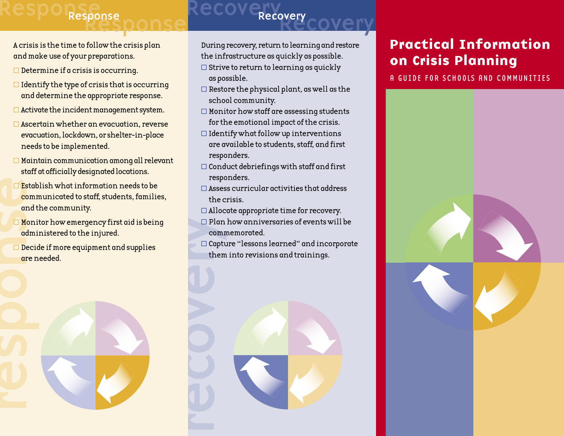# Response Response

## Recovery COVEry Response Recovery

- A crisis is the time to follow the crisis plan and make use of your preparations.
- $\square$  Determine if a crisis is occurring.
- $\Box$  Identify the type of crisis that is occurring and determine the appropriate response.
- $\Box$  Activate the incident management system.
- $\Box$  Ascertain whether an evacuation, reverse evacuation, lockdown, or shelter-in-place needs to be implemented.
- $\Box$  Maintain communication among all relevant staff at officially designated locations.
- Estab<br>comm<br>and t<br>ddmi<br>dere n<br>cre n<br>cre n  $\square$  Establish what information needs to be communicated to staff, students, families, and the community.
	- $\Box$  Monitor how emergency first aid is being administered to the injured.
	- $\square$  Decide if more equipment and supplies are needed.

During recovery, return to learning and restore the infrastructure as quickly as possible.

- $\square$  Strive to return to learning as quickly as possible.
- $\Box$  Restore the physical plant, as well as the school community.
- $\Box$  Monitor how staff are assessing students for the emotional impact of the crisis.
- $\Box$  Identify what follow up interventions are available to students, staff, and first responders.
- $\Box$  Conduct debriefings with staff and first responders.
- $\square$  Assess curricular activities that address the crisis.
- $\Box$  Allocate appropriate time for recovery.
- $\Box$  Plan how anniversaries of events will be commemorated.
- $\Box$  Capture "lessons learned" and incorporate them into revisions and trainings.



### Practical Information on Crisis Planning

A GUIDE FOR SCHOOLS AND COMMUNITIES